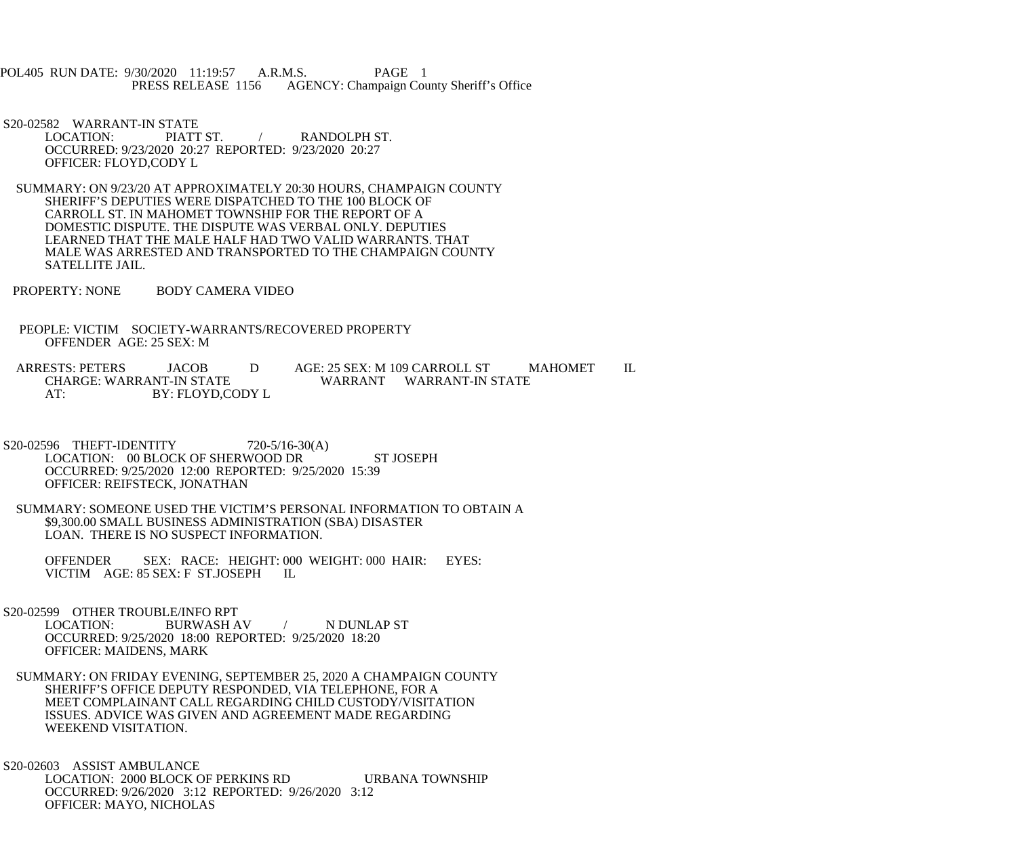POL405 RUN DATE: 9/30/2020 11:19:57 A.R.M.S. PAGE 1 PRESS RELEASE 1156 AGENCY: Champaign County Sheriff's Office

S20-02582 WARRANT-IN STATE<br>LOCATION: PIATT ST. RANDOLPH ST. OCCURRED: 9/23/2020 20:27 REPORTED: 9/23/2020 20:27 OFFICER: FLOYD,CODY L

- SUMMARY: ON 9/23/20 AT APPROXIMATELY 20:30 HOURS, CHAMPAIGN COUNTY SHERIFF'S DEPUTIES WERE DISPATCHED TO THE 100 BLOCK OF CARROLL ST. IN MAHOMET TOWNSHIP FOR THE REPORT OF A DOMESTIC DISPUTE. THE DISPUTE WAS VERBAL ONLY. DEPUTIES LEARNED THAT THE MALE HALF HAD TWO VALID WARRANTS. THAT MALE WAS ARRESTED AND TRANSPORTED TO THE CHAMPAIGN COUNTY SATELLITE JAIL.
- PROPERTY: NONE BODY CAMERA VIDEO
- PEOPLE: VICTIM SOCIETY-WARRANTS/RECOVERED PROPERTY OFFENDER AGE: 25 SEX: M

ARRESTS: PETERS JACOB D AGE: 25 SEX: M 109 CARROLL ST MAHOMET IL<br>CHARGE: WARRANT-IN STATE WARRANT WARRANT-IN STATE WARRANT WARRANT-IN STATE AT: BY: FLOYD,CODY L

- S20-02596 THEFT-IDENTITY 720-5/16-30(A) LOCATION: 00 BLOCK OF SHERWOOD DR ST JOSEPH OCCURRED: 9/25/2020 12:00 REPORTED: 9/25/2020 15:39 OFFICER: REIFSTECK, JONATHAN
- SUMMARY: SOMEONE USED THE VICTIM'S PERSONAL INFORMATION TO OBTAIN A \$9,300.00 SMALL BUSINESS ADMINISTRATION (SBA) DISASTER LOAN. THERE IS NO SUSPECT INFORMATION.

 OFFENDER SEX: RACE: HEIGHT: 000 WEIGHT: 000 HAIR: EYES: VICTIM AGE: 85 SEX: F ST.JOSEPH IL

S20-02599 OTHER TROUBLE/INFO RPT<br>LOCATION: BURWASH A BURWASH AV / N DUNLAP ST OCCURRED: 9/25/2020 18:00 REPORTED: 9/25/2020 18:20 OFFICER: MAIDENS, MARK

 SUMMARY: ON FRIDAY EVENING, SEPTEMBER 25, 2020 A CHAMPAIGN COUNTY SHERIFF'S OFFICE DEPUTY RESPONDED, VIA TELEPHONE, FOR A MEET COMPLAINANT CALL REGARDING CHILD CUSTODY/VISITATION ISSUES. ADVICE WAS GIVEN AND AGREEMENT MADE REGARDING WEEKEND VISITATION.

 S20-02603 ASSIST AMBULANCE LOCATION: 2000 BLOCK OF PERKINS RD URBANA TOWNSHIP OCCURRED: 9/26/2020 3:12 REPORTED: 9/26/2020 3:12 OFFICER: MAYO, NICHOLAS